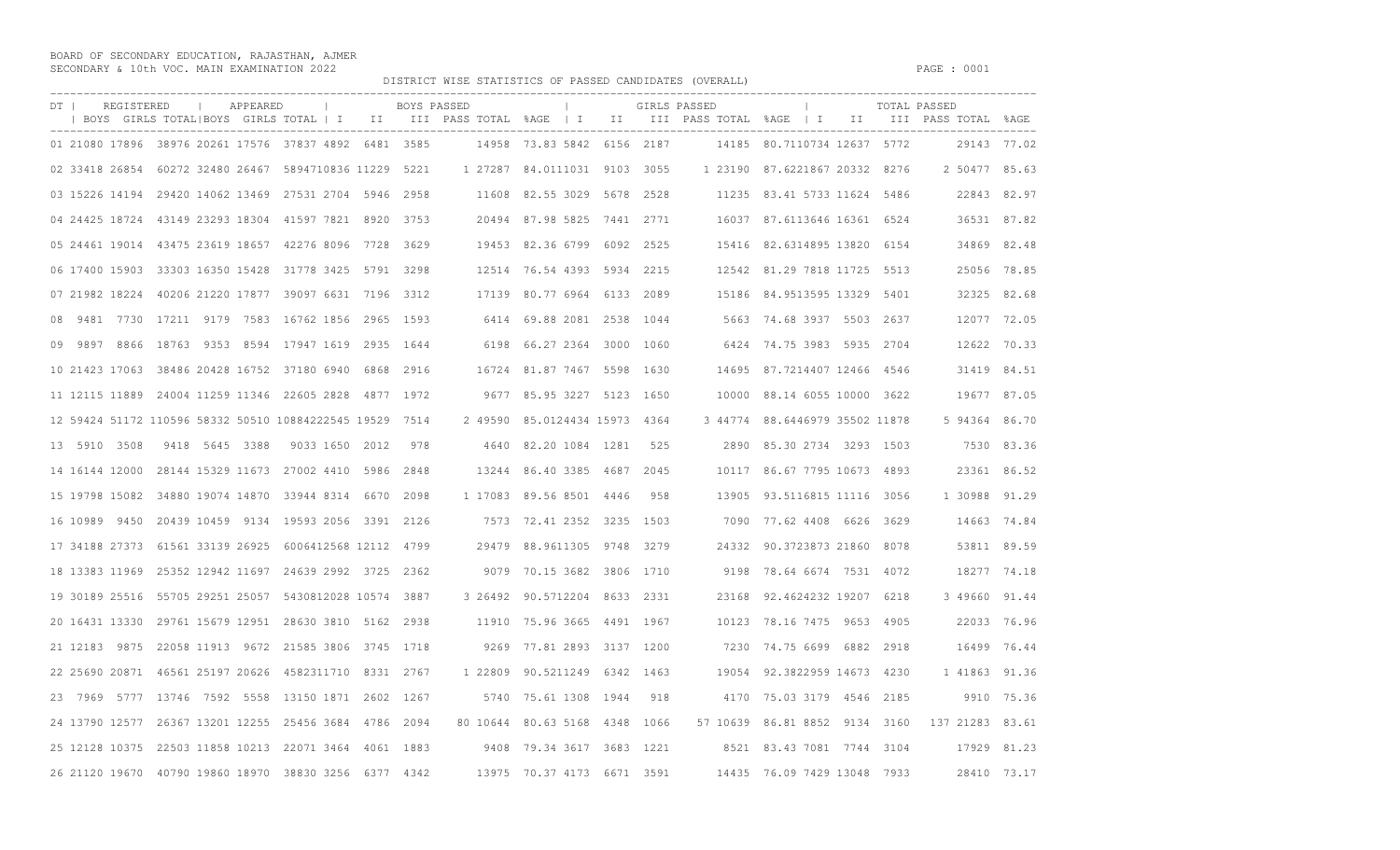BOARD OF SECONDARY EDUCATION, RAJASTHAN, AJMER SECONDARY & 10th VOC. MAIN EXAMINATION 2022 **PAGE : 0001** 

DISTRICT WISE STATISTICS OF PASSED CANDIDATES (OVERALL)

| DT  <br>REGISTERED                                       | BOYS GIRLS TOTAL BOYS GIRLS TOTAL   I   II   III PASS TOTAL %AGE   I   II   III PASS TOTAL %AGE   I   II   III PASS TOTAL %AGE | APPEARED | <b>Contract Contract</b> | BOYS PASSED | $\mathbb{R}$                  |     | GIRLS PASSED |                                |  | TOTAL PASSED                                  |             |
|----------------------------------------------------------|--------------------------------------------------------------------------------------------------------------------------------|----------|--------------------------|-------------|-------------------------------|-----|--------------|--------------------------------|--|-----------------------------------------------|-------------|
| 01 21080 17896 38976 20261 17576 37837 4892 6481 3585    |                                                                                                                                |          |                          |             | 14958 73.83 5842 6156 2187    |     |              | 14185 80.7110734 12637 5772    |  |                                               | 29143 77.02 |
| 02 33418 26854 60272 32480 26467 5894710836 11229 5221   |                                                                                                                                |          |                          |             | 1 27287 84.0111031 9103 3055  |     |              | 1 23190 87.6221867 20332 8276  |  | 2 50477 85.63                                 |             |
| 03 15226 14194 29420 14062 13469 27531 2704 5946 2958    |                                                                                                                                |          |                          |             | 11608 82.55 3029 5678 2528    |     |              | 11235 83.41 5733 11624 5486    |  |                                               | 22843 82.97 |
| 04 24425 18724 43149 23293 18304 41597 7821 8920 3753    |                                                                                                                                |          |                          |             | 20494 87.98 5825 7441 2771    |     |              | 16037 87.6113646 16361 6524    |  | 36531 87.82                                   |             |
| 05 24461 19014 43475 23619 18657 42276 8096 7728 3629    |                                                                                                                                |          |                          |             | 19453 82.36 6799 6092 2525    |     |              | 15416 82.6314895 13820 6154    |  | 34869 82.48                                   |             |
| 06 17400 15903 33303 16350 15428 31778 3425 5791 3298    |                                                                                                                                |          |                          |             | 12514 76.54 4393 5934 2215    |     |              | 12542 81.29 7818 11725 5513    |  |                                               | 25056 78.85 |
| 07 21982 18224 40206 21220 17877 39097 6631 7196 3312    |                                                                                                                                |          |                          |             | 17139 80.77 6964 6133 2089    |     |              | 15186 84.9513595 13329 5401    |  |                                               | 32325 82.68 |
| 08 9481 7730 17211 9179 7583 16762 1856 2965 1593        |                                                                                                                                |          |                          |             | 6414 69.88 2081 2538 1044     |     |              | 5663 74.68 3937 5503 2637      |  | 12077 72.05                                   |             |
| 09 9897 8866 18763 9353 8594 17947 1619 2935 1644        |                                                                                                                                |          |                          |             | 6198 66.27 2364 3000 1060     |     |              | 6424 74.75 3983 5935 2704      |  | 12622 70.33                                   |             |
| 10 21423 17063 38486 20428 16752 37180 6940 6868 2916    |                                                                                                                                |          |                          |             | 16724 81.87 7467 5598 1630    |     |              | 14695 87.7214407 12466 4546    |  | 31419 84.51                                   |             |
| 11 12115 11889 24004 11259 11346 22605 2828 4877 1972    |                                                                                                                                |          |                          |             | 9677 85.95 3227 5123 1650     |     |              | 10000 88.14 6055 10000 3622    |  | 19677 87.05                                   |             |
| 12 59424 51172 110596 58332 50510 10884222545 19529 7514 |                                                                                                                                |          |                          |             | 2 49590 85.0124434 15973 4364 |     |              | 3 44774 88.6446979 35502 11878 |  | 5 94364 86.70                                 |             |
| 13 5910 3508 9418 5645 3388 9033 1650 2012 978           |                                                                                                                                |          |                          |             | 4640 82.20 1084 1281          | 525 |              | 2890 85.30 2734 3293 1503      |  |                                               | 7530 83.36  |
| 14 16144 12000 28144 15329 11673 27002 4410 5986 2848    |                                                                                                                                |          |                          |             | 13244 86.40 3385 4687 2045    |     |              | 10117 86.67 7795 10673 4893    |  |                                               | 23361 86.52 |
| 15 19798 15082 34880 19074 14870 33944 8314 6670 2098    |                                                                                                                                |          |                          |             | 1 17083 89.56 8501 4446       | 958 |              | 13905 93.5116815 11116 3056    |  | 1 30988 91.29                                 |             |
| 16 10989 9450 20439 10459 9134 19593 2056 3391 2126      |                                                                                                                                |          |                          |             | 7573 72.41 2352 3235 1503     |     |              | 7090 77.62 4408 6626 3629      |  | 14663 74.84                                   |             |
| 17 34188 27373 61561 33139 26925 6006412568 12112 4799   |                                                                                                                                |          |                          |             | 29479 88.9611305 9748 3279    |     |              | 24332 90.3723873 21860 8078    |  | 53811 89.59                                   |             |
| 18 13383 11969 25352 12942 11697 24639 2992 3725 2362    |                                                                                                                                |          |                          |             | 9079 70.15 3682 3806 1710     |     |              | 9198 78.64 6674 7531 4072      |  | 18277 74.18                                   |             |
| 19 30189 25516 55705 29251 25057 5430812028 10574 3887   |                                                                                                                                |          |                          |             | 3 26492 90.5712204 8633 2331  |     |              | 23168 92.4624232 19207 6218    |  | 3 49660 91.44                                 |             |
| 20 16431 13330 29761 15679 12951 28630 3810 5162 2938    |                                                                                                                                |          |                          |             | 11910 75.96 3665 4491 1967    |     |              | 10123 78.16 7475 9653 4905     |  | 22033 76.96                                   |             |
| 21 12183 9875 22058 11913 9672 21585 3806 3745 1718      |                                                                                                                                |          |                          |             | 9269 77.81 2893 3137 1200     |     |              | 7230 74.75 6699 6882 2918      |  | 16499 76.44                                   |             |
| 22 25690 20871 46561 25197 20626 4582311710 8331 2767    |                                                                                                                                |          |                          |             | 1 22809 90.5211249 6342 1463  |     |              | 19054 92.3822959 14673 4230    |  | 1 41863 91.36                                 |             |
| 23 7969 5777 13746 7592 5558 13150 1871 2602 1267        |                                                                                                                                |          |                          |             | 5740 75.61 1308 1944          | 918 |              | 4170 75.03 3179 4546 2185      |  |                                               | 9910 75.36  |
| 24 13790 12577 26367 13201 12255 25456 3684 4786 2094    |                                                                                                                                |          |                          |             | 80 10644 80.63 5168 4348 1066 |     |              |                                |  | 57 10639 86.81 8852 9134 3160 137 21283 83.61 |             |
| 25 12128 10375 22503 11858 10213 22071 3464 4061 1883    |                                                                                                                                |          |                          |             | 9408 79.34 3617 3683 1221     |     |              | 8521 83.43 7081 7744 3104      |  | 17929 81.23                                   |             |
| 26 21120 19670 40790 19860 18970 38830 3256 6377 4342    |                                                                                                                                |          |                          |             | 13975 70.37 4173 6671 3591    |     |              | 14435 76.09 7429 13048 7933    |  |                                               | 28410 73.17 |